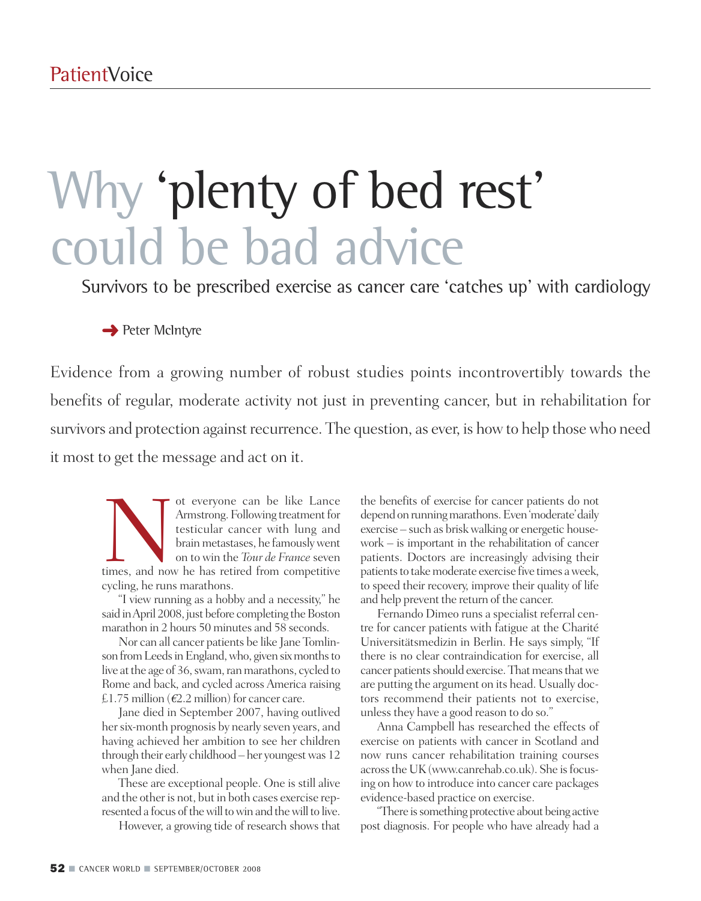# Why 'plenty of bed rest' could be bad advice

Survivors to be prescribed exercise as cancer care 'catches up' with cardiology

**→** Peter McIntyre

Evidence from a growing number of robust studies points incontrovertibly towards the benefits of regular, moderate activity not just in preventing cancer, but in rehabilitation for survivors and protection against recurrence. The question, as ever, is how to help those who need it most to get the message and act on it.

ot everyone can be like Lance<br>Armstrong. Following treatment for<br>testicular cancer with lung and<br>brain metastases, he famously went<br>on to win the *Tour de France* seven<br>times, and now he has retired from competitive Armstrong. Following treatment for testicular cancer with lung and brain metastases, he famously went on to win the *Tour de France* seven cycling, he runs marathons.

"I view running as a hobby and a necessity," he said in April 2008, just before completing the Boston marathon in 2 hours 50 minutes and 58 seconds.

Nor can all cancer patients be like Jane Tomlinson from Leeds in England, who, given six months to live at the age of 36, swam, ran marathons, cycled to Rome and back, and cycled across America raising £1.75 million (*€*2.2 million) for cancer care.

Jane died in September 2007, having outlived her six-month prognosis by nearly seven years, and having achieved her ambition to see her children through their early childhood – her youngestwas 12 when Jane died.

These are exceptional people. One is still alive and the otheris not, but in both cases exercise represented a focus of the will to win and the will to live.

However, a growing tide of research shows that

the benefits of exercise for cancer patients do not depend on running marathons. Even 'moderate' daily exercise – such as briskwalking or energetic housework – is important in the rehabilitation of cancer patients. Doctors are increasingly advising their patients to take moderate exercise five times a week, to speed their recovery, improve their quality of life and help prevent the return of the cancer.

Fernando Dimeo runs a specialist referral centre for cancer patients with fatigue at the Charité Universitätsmedizin in Berlin. He says simply, "If there is no clear contraindication for exercise, all cancer patients should exercise. That means that we are putting the argument on its head. Usually doctors recommend their patients not to exercise, unlessthey have a good reason to do so."

Anna Campbell has researched the effects of exercise on patients with cancer in Scotland and now runs cancer rehabilitation training courses acrossthe UK(www.canrehab.co.uk). She isfocusing on how to introduce into cancer care packages evidence-based practice on exercise.

"There is something protective about being active post diagnosis. For people who have already had a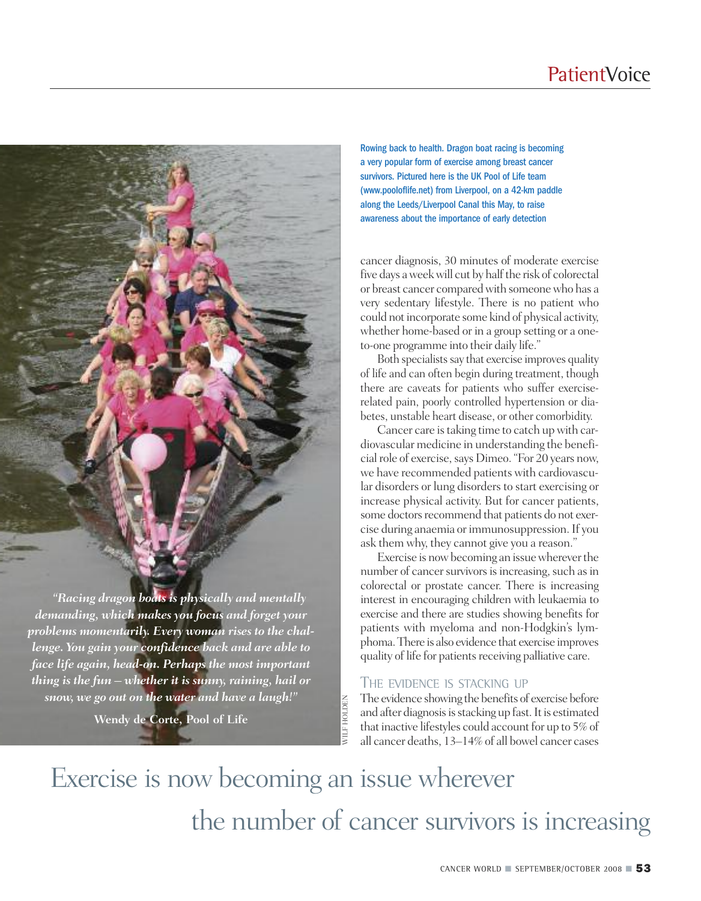### **PatientVoice**

*"Racing dragon boats is physically and mentally demanding, which makes you focus and forget your problems momentarily. Every woman rises to the chal-*

*lenge. You gain your confidence back and are able to face life again, head-on. Perhaps the most important thing is the fun – whether it is sunny, raining, hail or snow, we go out on the water and have a laugh!"*

**Wendy de Corte, Pool of Life**

Rowing back to health. Dragon boat racing is becoming a very popular form of exercise among breast cancer survivors. Pictured here is the UK Pool of Life team (www.pooloflife.net) from Liverpool, on a 42-km paddle along the Leeds/Liverpool Canal this May, to raise awareness about the importance of early detection

cancer diagnosis, 30 minutes of moderate exercise five days a week will cut by half the risk of colorectal or breast cancer comparedwith someonewho has a very sedentary lifestyle. There is no patient who could notincorporate some kind of physical activity, whether home-based or in a group setting or a oneto-one programme into their daily life."

Both specialists say that exercise improves quality of life and can often begin during treatment, though there are caveats for patients who suffer exerciserelated pain, poorly controlled hypertension or diabetes, unstable heart disease, or other comorbidity.

Cancer care is taking time to catch up with cardiovascular medicine in understanding the beneficial role of exercise, says Dimeo. "For 20 years now, we have recommended patients with cardiovascular disorders or lung disorders to start exercising or increase physical activity. But for cancer patients, some doctors recommend that patients do not exercise during anaemia orimmunosuppression.If you ask them why, they cannot give you a reason."

Exercise is now becoming an issue wherever the number of cancer survivors is increasing, such as in colorectal or prostate cancer. There is increasing interest in encouraging children with leukaemia to exercise and there are studies showing benefits for patients with myeloma and non-Hodgkin's lymphoma.There is also evidence that exercise improves quality of life for patients receiving palliative care.

### THE EVIDENCE IS STACKING UP

The evidence showing the benefits of exercise before and after diagnosis is stacking up fast. It is estimated that inactive lifestyles could account for up to  $5\%$  of all cancer deaths, 13–14% of all bowel cancer cases

Exercise is now becoming an issue wherever the number of cancer survivors is increasing

**VILF HOLDEN** WILF HOLDEN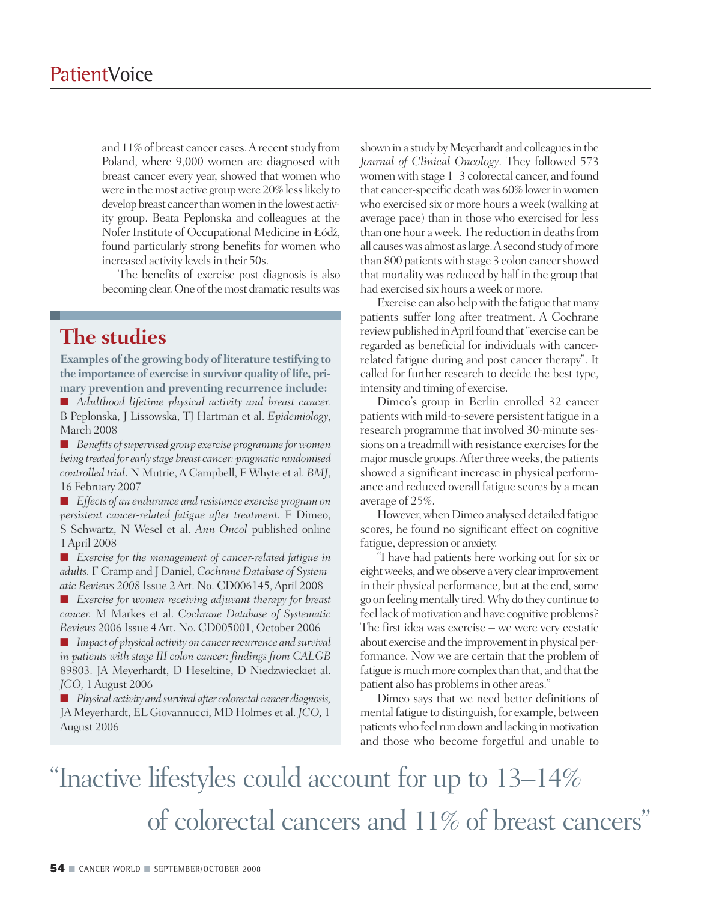and 11% of breast cancer cases. A recent study from Poland, where 9,000 women are diagnosed with breast cancer every year, showed that women who were in the most active group were 20% less likely to develop breast cancer than women in the lowest activity group. Beata Peplonska and colleagues at the Nofer Institute of Occupational Medicine in Łódz´, found particularly strong benefits for women who increased activity levels in their 50s.

The benefits of exercise post diagnosis is also becoming clear. One of the most dramatic results was

### **The studies**

**Examples** of the growing body of literature testifying to **the importance of exercise in survivor quality oflife, primary prevention and preventing recurrence include:**

**■** *Adulthood lifetime physical activity and breast cancer.* B Peplonska, J Lissowska, TJ Hartman et al. *Epidemiology*, March 2008

■ *Benefits of supervised group exercise programme for women being treated for earlystage breast cancer: pragmatic randomised controlled trial*. N Mutrie,A Campbell, F Whyte et al. *BMJ*, 16 February 2007

**■** *Effects of an endurance and resistance exercise program on persistent cancer-related fatigue after treatment.* F Dimeo, S Schwartz, N Wesel et al. *Ann Oncol* published online 1April 2008

■ *Exercise for the management of cancer-related fatigue <i>in adults.* F Cramp and J Daniel, *Cochrane Database of Systematic Reviews 2008* Issue 2Art. No. CD006145,April 2008

**■** *Exercise for women receiving adjuvant therapy for breast cancer.* M Markes et al. *Cochrane Database of Systematic Reviews* 2006 Issue 4Art. No. CD005001, October 2006

■ *Impact of physical activity on cancer recurrence and survival in patients with stage III colon cancer: findings from CALGB* 89803. JA Meyerhardt, D Heseltine, D Niedzwieckiet al. *JCO,* 1August 2006

**■** *Physical activity and survival after colorectal cancer diagnosis,* JA Meyerhardt, EL Giovannucci, MD Holmes et al. *JCO,* 1 August 2006

shown in a study by Meyerhardt and colleagues in the *Journal of Clinical Oncology*. They followed 573 women with stage 1–3 colorectal cancer, and found that cancer-specific death was 60% lower in women who exercised six or more hours a week (walking at average pace) than in those who exercised for less than one hour a week. The reduction in deaths from all causes was almost as large. A second study of more than 800 patients with stage 3 colon cancer showed that mortality was reduced by half in the group that had exercised six hours aweek or more.

Exercise can also help with the fatigue that many patients suffer long after treatment. A Cochrane review published in April found that "exercise can be regarded as beneficial for individuals with cancerrelated fatigue during and post cancer therapy". It called for further research to decide the best type, intensity and timing of exercise.

Dimeo's group in Berlin enrolled 32 cancer patients with mild-to-severe persistent fatigue in a research programme that involved 30-minute sessions on a treadmill with resistance exercises for the major muscle groups. After three weeks, the patients showed a significant increase in physical performance and reduced overall fatigue scores by a mean average of 25%.

However, when Dimeo analysed detailed fatigue scores, he found no significant effect on cognitive fatigue, depression or anxiety.

"I have had patients here working out for six or eight weeks, and we observe a very clear improvement in their physical performance, but at the end, some go onfeelingmentally tired.Why do they continue to feel lack of motivation and have cognitive problems? The first idea was exercise – we were very ecstatic about exercise and the improvement in physical performance. Now we are certain that the problem of fatigue is much more complex than that, and that the patient also has problems in other areas."

Dimeo says that we need better definitions of mental fatigue to distinguish, for example, between patients who feel run down and lacking in motivation and those who become forgetful and unable to

# "Inactive lifestyles could account for up to 13–14% of colorectal cancers and 11% of breast cancers "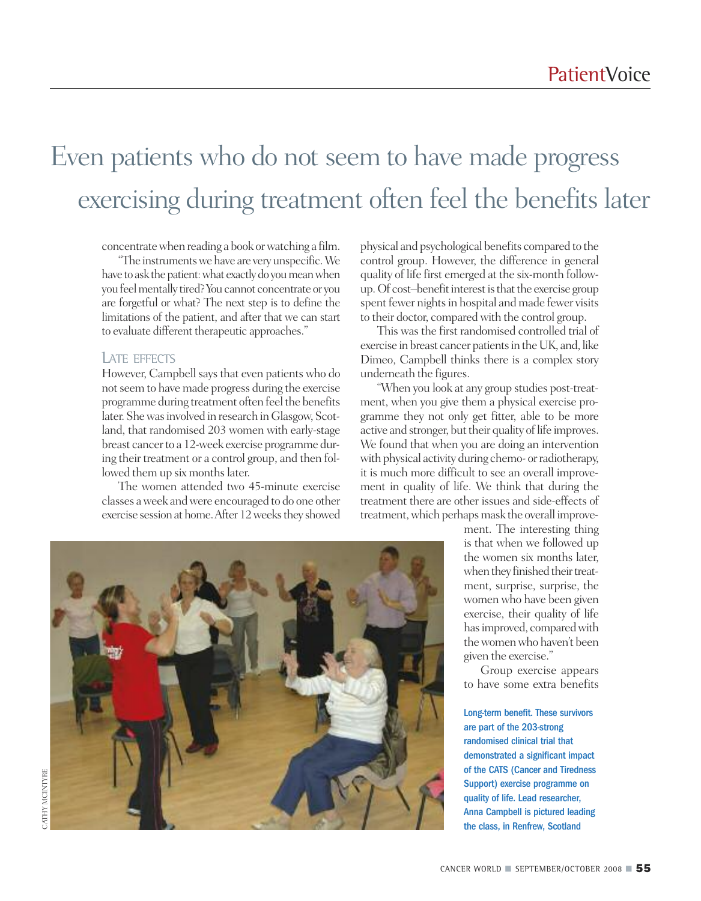## Even patients who do not seem to have made progress exercising during treatment often feel the benefits later

concentratewhen reading a book orwatching a film.

"The instrumentswe have are very unspecific.We have to ask the patient: what exactly do you mean when you feel mentally tired? You cannot concentrate or you are forgetful or what? The next step is to define the limitations of the patient, and after that we can start to evaluate different therapeutic approaches."

#### LATE EFFECTS

However, Campbell says that even patients who do notseem to have made progress during the exercise programme during treatment often feel the benefits later. Shewasinvolved in research inGlasgow, Scotland, that randomised 203 women with early-stage breast cancerto a 12-week exercise programme during their treatment or a control group, and then followed them up six months later.

The women attended two 45-minute exercise classes aweek andwere encouraged to do one other exercise session at home. After 12 weeks they showed physical and psychological benefits compared to the control group. However, the difference in general quality of life first emerged at the six-month followup. Of cost-benefit interest is that the exercise group spent fewer nights in hospital and made fewer visits to their doctor, comparedwith the control group.

This was the first randomised controlled trial of exercise in breast cancer patients in the UK, and, like Dimeo, Campbell thinks there is a complex story underneath the figures.

"When you look at any group studies post-treatment, when you give them a physical exercise programme they not only get fitter, able to be more active and stronger, but their quality of life improves. We found that when you are doing an intervention with physical activity during chemo- or radiotherapy, it is much more difficult to see an overall improvement in quality of life. We think that during the treatment there are other issues and side-effects of treatment, which perhaps mask the overall improve-



ment. The interesting thing is that when we followed up the women six months later, when they finished their treatment, surprise, surprise, the women who have been given exercise, their quality of life has improved, compared with thewomenwho haven't been given the exercise."

Group exercise appears to have some extra benefits

Long-term benefit. These survivors are part of the 203-strong randomised clinical trial that demonstrated a significant impact of the CATS (Cancer and Tiredness Support) exercise programme on quality of life. Lead researcher, Anna Campbell is pictured leading the class, in Renfrew, Scotland